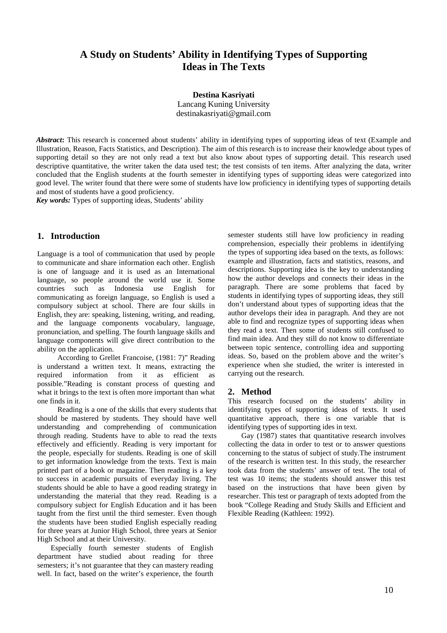# **A Study on Students' Ability in Identifying Types of Supporting Ideas in The Texts**

**Destina Kasriyati** Lancang Kuning University destinakasriyati@gmail.com

*Abstract***:** This research is concerned about students' ability in identifying types of supporting ideas of text (Example and Illustration, Reason, Facts Statistics, and Description). The aim of this research is to increase their knowledge about types of supporting detail so they are not only read a text but also know about types of supporting detail. This research used descriptive quantitative, the writer taken the data used test; the test consists of ten items. After analyzing the data, writer concluded that the English students at the fourth semester in identifying types of supporting ideas were categorized into good level. The writer found that there were some of students have low proficiency in identifying types of supporting details and most of students have a good proficiency.

*Key words:* Types of supporting ideas, Students' ability

## **1. Introduction**

Language is a tool of communication that used by people to communicate and share information each other. English is one of language and it is used as an International language, so people around the world use it. Some countries such as Indonesia use English for communicating as foreign language, so English is used a compulsory subject at school. There are four skills in English, they are: speaking, listening, writing, and reading, and the language components vocabulary, language, pronunciation, and spelling. The fourth language skills and language components will give direct contribution to the ability on the application.

According to Grellet Francoise, (1981: 7)" Reading is understand a written text. It means, extracting the required information from it as efficient as possible."Reading is constant process of questing and what it brings to the text is often more important than what one finds in it.

Reading is a one of the skills that every students that should be mastered by students. They should have well understanding and comprehending of communication through reading. Students have to able to read the texts effectively and efficiently. Reading is very important for the people, especially for students. Reading is one of skill to get information knowledge from the texts. Text is main printed part of a book or magazine. Then reading is a key to success in academic pursuits of everyday living. The students should be able to have a good reading strategy in understanding the material that they read. Reading is a compulsory subject for English Education and it has been taught from the first until the third semester. Even though the students have been studied English especially reading for three years at Junior High School, three years at Senior High School and at their University.

Especially fourth semester students of English department have studied about reading for three semesters; it's not guarantee that they can mastery reading well. In fact, based on the writer's experience, the fourth semester students still have low proficiency in reading comprehension, especially their problems in identifying the types of supporting idea based on the texts, as follows: example and illustration, facts and statistics, reasons, and descriptions. Supporting idea is the key to understanding how the author develops and connects their ideas in the paragraph. There are some problems that faced by students in identifying types of supporting ideas, they still don't understand about types of supporting ideas that the author develops their idea in paragraph. And they are not able to find and recognize types of supporting ideas when they read a text. Then some of students still confused to find main idea. And they still do not know to differentiate between topic sentence, controlling idea and supporting ideas. So, based on the problem above and the writer's experience when she studied, the writer is interested in carrying out the research.

## **2. Method**

This research focused on the students' ability in identifying types of supporting ideas of texts. It used quantitative approach, there is one variable that is identifying types of supporting ides in text.

Gay (1987) states that quantitative research involves collecting the data in order to test or to answer questions concerning to the status of subject of study.The instrument of the research is written test. In this study, the researcher took data from the students' answer of test. The total of test was 10 items; the students should answer this test based on the instructions that have been given by researcher. This test or paragraph of texts adopted from the book "College Reading and Study Skills and Efficient and Flexible Reading (Kathleen: 1992).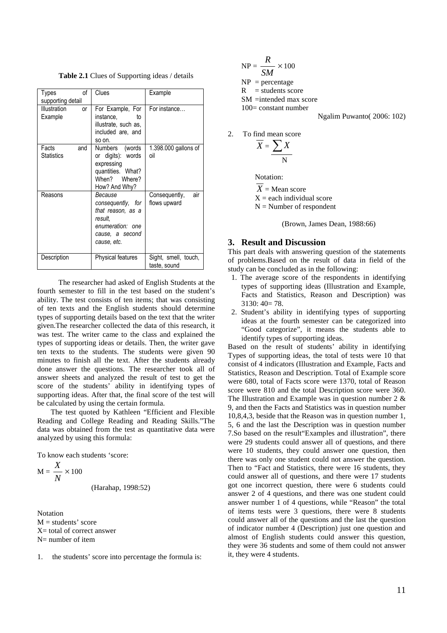**Table 2.1** Clues of Supporting ideas / details

| of<br>Types<br>supporting detail  | Clues                                                                                                              | Example                              |
|-----------------------------------|--------------------------------------------------------------------------------------------------------------------|--------------------------------------|
| Illustration<br>or<br>Example     | For Example, For<br>instance.<br>t٥<br>illustrate, such as,<br>included are, and<br>so on.                         | For instance                         |
| Facts<br>and<br><b>Statistics</b> | Numbers (words<br>or digits): words<br>expressing<br>quantities. What?<br>When? Where?<br>How? And Why?            | 1.398.000 gallons of<br>oil          |
| Reasons                           | Because<br>consequently, for<br>that reason, as a<br>result.<br>enumeration: one<br>cause, a second<br>cause, etc. | Consequently,<br>air<br>flows upward |
| Description                       | Physical features                                                                                                  | Sight, smell, touch,<br>taste, sound |

The researcher had asked of English Students at the fourth semester to fill in the test based on the student's ability. The test consists of ten items; that was consisting of ten texts and the English students should determine types of supporting details based on the text that the writer given.The researcher collected the data of this research, it was test. The writer came to the class and explained the types of supporting ideas or details. Then, the writer gave ten texts to the students. The students were given 90 minutes to finish all the text. After the students already done answer the questions. The researcher took all of answer sheets and analyzed the result of test to get the score of the students' ability in identifying types of supporting ideas. After that, the final score of the test will be calculated by using the certain formula.

The test quoted by Kathleen "Efficient and Flexible Reading and College Reading and Reading Skills."The data was obtained from the test as quantitative data were analyzed by using this formula:

To know each students 'score:

*X*

$$
M = \frac{X}{N} \times 100
$$
 (Harahap, 1998:52)

Notation  $M = students' score$  $X=$  total of correct answer  $N=$  number of item

1. the students' score into percentage the formula is:

$$
NP = \frac{R}{SM} \times 100
$$
  
NP = percentage  
R = students score  
SM =intended max score  
100= constant number

Ngalim Puwanto( 2006: 102)

2. To find mean score

$$
\overline{X} = \underline{\sum X}
$$

Notation:

 $X =$ Mean score  $X =$  each individual score  $N =$  Number of respondent

(Brown, James Dean, 1988:66)

### **3. Result and Discussion**

This part deals with answering question of the statements of problems.Based on the result of data in field of the study can be concluded as in the following:

- 1. The average score of the respondents in identifying types of supporting ideas (Illustration and Example, Facts and Statistics, Reason and Description) was 3130: 40= 78.
- 2. Student's ability in identifying types of supporting ideas at the fourth semester can be categorized into "Good categorize", it means the students able to identify types of supporting ideas.

Based on the result of students' ability in identifying Types of supporting ideas, the total of tests were 10 that consist of 4 indicators (Illustration and Example, Facts and Statistics, Reason and Description. Total of Example score were 680, total of Facts score were 1370, total of Reason score were 810 and the total Description score were 360. The Illustration and Example was in question number  $2 \&$ 9, and then the Facts and Statistics was in question number 10,8,4,3, beside that the Reason was in question number 1, 5, 6 and the last the Description was in question number 7.So based on the result"Examples and illustration", there were 29 students could answer all of questions, and there were 10 students, they could answer one question, then there was only one student could not answer the question. Then to "Fact and Statistics, there were 16 students, they could answer all of questions, and there were 17 students got one incorrect question, there were 6 students could answer 2 of 4 questions, and there was one student could answer number 1 of 4 questions, while "Reason" the total of items tests were  $3$  questions, there were  $8$  students could answer all of the questions and the last the question of indicator number 4 (Description) just one question and almost of English students could answer this question, they were 36 students and some of them could not answer it, they were 4 students.